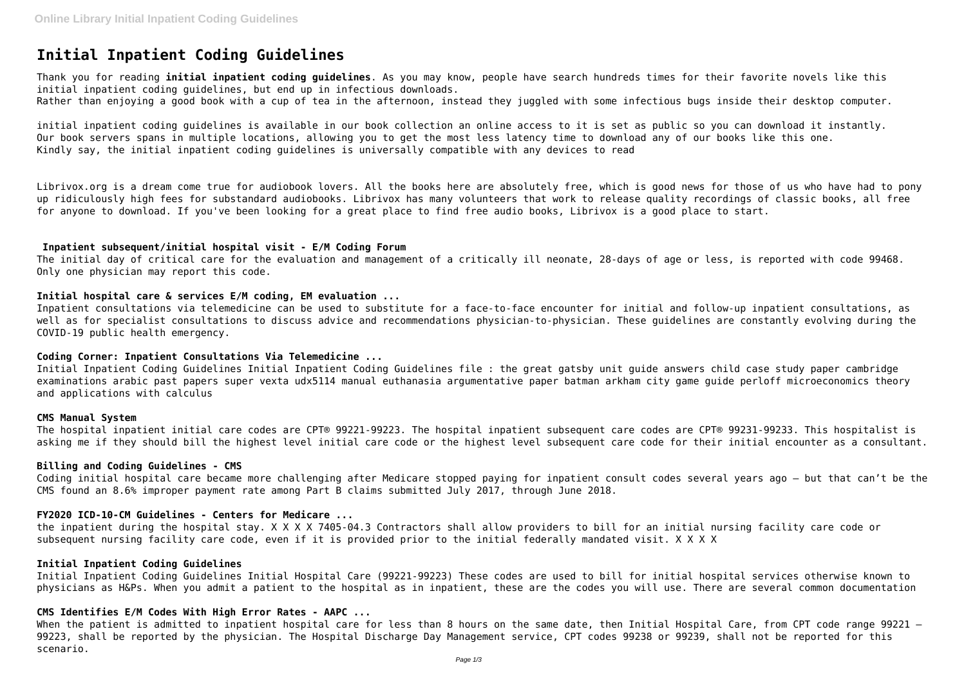# **Initial Inpatient Coding Guidelines**

Thank you for reading **initial inpatient coding guidelines**. As you may know, people have search hundreds times for their favorite novels like this initial inpatient coding guidelines, but end up in infectious downloads.

Rather than enjoying a good book with a cup of tea in the afternoon, instead they juggled with some infectious bugs inside their desktop computer.

initial inpatient coding guidelines is available in our book collection an online access to it is set as public so you can download it instantly. Our book servers spans in multiple locations, allowing you to get the most less latency time to download any of our books like this one. Kindly say, the initial inpatient coding guidelines is universally compatible with any devices to read

Librivox.org is a dream come true for audiobook lovers. All the books here are absolutely free, which is good news for those of us who have had to pony up ridiculously high fees for substandard audiobooks. Librivox has many volunteers that work to release quality recordings of classic books, all free for anyone to download. If you've been looking for a great place to find free audio books, Librivox is a good place to start.

## **Inpatient subsequent/initial hospital visit - E/M Coding Forum**

The initial day of critical care for the evaluation and management of a critically ill neonate, 28-days of age or less, is reported with code 99468. Only one physician may report this code.

## **Initial hospital care & services E/M coding, EM evaluation ...**

Inpatient consultations via telemedicine can be used to substitute for a face-to-face encounter for initial and follow-up inpatient consultations, as well as for specialist consultations to discuss advice and recommendations physician-to-physician. These guidelines are constantly evolving during the COVID-19 public health emergency.

#### **Coding Corner: Inpatient Consultations Via Telemedicine ...**

When the patient is admitted to inpatient hospital care for less than 8 hours on the same date, then Initial Hospital Care, from CPT code range 99221 -99223, shall be reported by the physician. The Hospital Discharge Day Management service, CPT codes 99238 or 99239, shall not be reported for this scenario.

Initial Inpatient Coding Guidelines Initial Inpatient Coding Guidelines file : the great gatsby unit guide answers child case study paper cambridge examinations arabic past papers super vexta udx5114 manual euthanasia argumentative paper batman arkham city game guide perloff microeconomics theory and applications with calculus

#### **CMS Manual System**

The hospital inpatient initial care codes are CPT® 99221-99223. The hospital inpatient subsequent care codes are CPT® 99231-99233. This hospitalist is asking me if they should bill the highest level initial care code or the highest level subsequent care code for their initial encounter as a consultant.

#### **Billing and Coding Guidelines - CMS**

Coding initial hospital care became more challenging after Medicare stopped paying for inpatient consult codes several years ago — but that can't be the CMS found an 8.6% improper payment rate among Part B claims submitted July 2017, through June 2018.

#### **FY2020 ICD-10-CM Guidelines - Centers for Medicare ...**

the inpatient during the hospital stay. X X X X 7405-04.3 Contractors shall allow providers to bill for an initial nursing facility care code or subsequent nursing facility care code, even if it is provided prior to the initial federally mandated visit. X X X X

## **Initial Inpatient Coding Guidelines**

Initial Inpatient Coding Guidelines Initial Hospital Care (99221-99223) These codes are used to bill for initial hospital services otherwise known to physicians as H&Ps. When you admit a patient to the hospital as in inpatient, these are the codes you will use. There are several common documentation

# **CMS Identifies E/M Codes With High Error Rates - AAPC ...**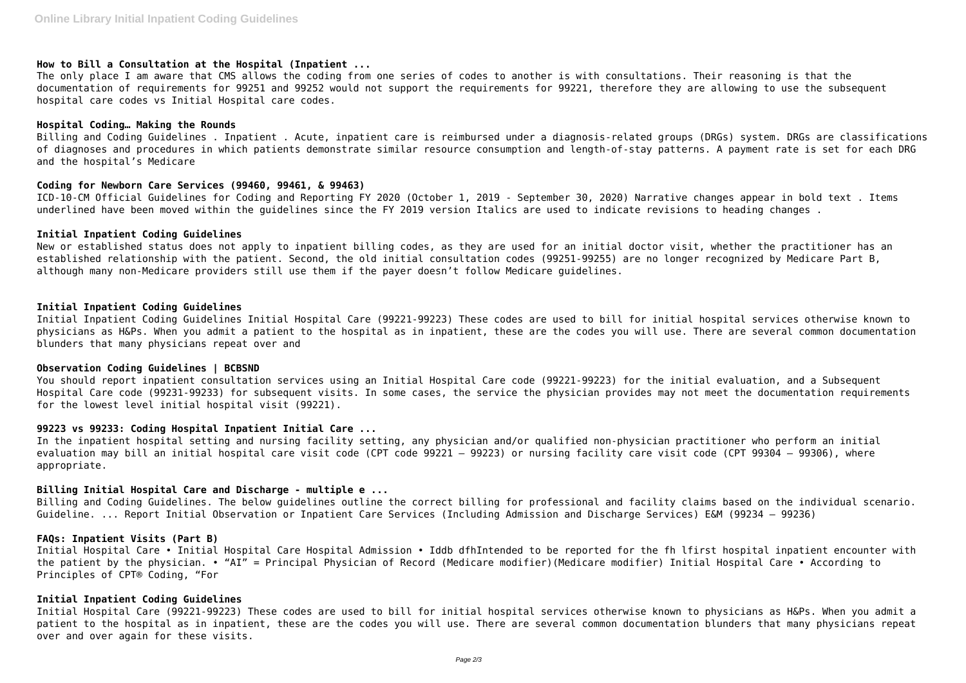# **How to Bill a Consultation at the Hospital (Inpatient ...**

The only place I am aware that CMS allows the coding from one series of codes to another is with consultations. Their reasoning is that the documentation of requirements for 99251 and 99252 would not support the requirements for 99221, therefore they are allowing to use the subsequent hospital care codes vs Initial Hospital care codes.

#### **Hospital Coding… Making the Rounds**

Billing and Coding Guidelines . Inpatient . Acute, inpatient care is reimbursed under a diagnosis-related groups (DRGs) system. DRGs are classifications of diagnoses and procedures in which patients demonstrate similar resource consumption and length-of-stay patterns. A payment rate is set for each DRG and the hospital's Medicare

## **Coding for Newborn Care Services (99460, 99461, & 99463)**

ICD-10-CM Official Guidelines for Coding and Reporting FY 2020 (October 1, 2019 - September 30, 2020) Narrative changes appear in bold text . Items underlined have been moved within the guidelines since the FY 2019 version Italics are used to indicate revisions to heading changes .

## **Initial Inpatient Coding Guidelines**

New or established status does not apply to inpatient billing codes, as they are used for an initial doctor visit, whether the practitioner has an established relationship with the patient. Second, the old initial consultation codes (99251-99255) are no longer recognized by Medicare Part B, although many non-Medicare providers still use them if the payer doesn't follow Medicare guidelines.

# **Initial Inpatient Coding Guidelines**

Initial Inpatient Coding Guidelines Initial Hospital Care (99221-99223) These codes are used to bill for initial hospital services otherwise known to physicians as H&Ps. When you admit a patient to the hospital as in inpatient, these are the codes you will use. There are several common documentation blunders that many physicians repeat over and

## **Observation Coding Guidelines | BCBSND**

You should report inpatient consultation services using an Initial Hospital Care code (99221-99223) for the initial evaluation, and a Subsequent Hospital Care code (99231-99233) for subsequent visits. In some cases, the service the physician provides may not meet the documentation requirements for the lowest level initial hospital visit (99221).

#### **99223 vs 99233: Coding Hospital Inpatient Initial Care ...**

In the inpatient hospital setting and nursing facility setting, any physician and/or qualified non-physician practitioner who perform an initial evaluation may bill an initial hospital care visit code (CPT code 99221 – 99223) or nursing facility care visit code (CPT 99304 – 99306), where appropriate.

# **Billing Initial Hospital Care and Discharge - multiple e ...**

Billing and Coding Guidelines. The below guidelines outline the correct billing for professional and facility claims based on the individual scenario. Guideline. ... Report Initial Observation or Inpatient Care Services (Including Admission and Discharge Services) E&M (99234 – 99236)

# **FAQs: Inpatient Visits (Part B)**

Initial Hospital Care • Initial Hospital Care Hospital Admission • Iddb dfhIntended to be reported for the fh lfirst hospital inpatient encounter with the patient by the physician. • "AI" = Principal Physician of Record (Medicare modifier)(Medicare modifier) Initial Hospital Care • According to Principles of CPT® Coding, "For

# **Initial Inpatient Coding Guidelines**

Initial Hospital Care (99221-99223) These codes are used to bill for initial hospital services otherwise known to physicians as H&Ps. When you admit a patient to the hospital as in inpatient, these are the codes you will use. There are several common documentation blunders that many physicians repeat over and over again for these visits.